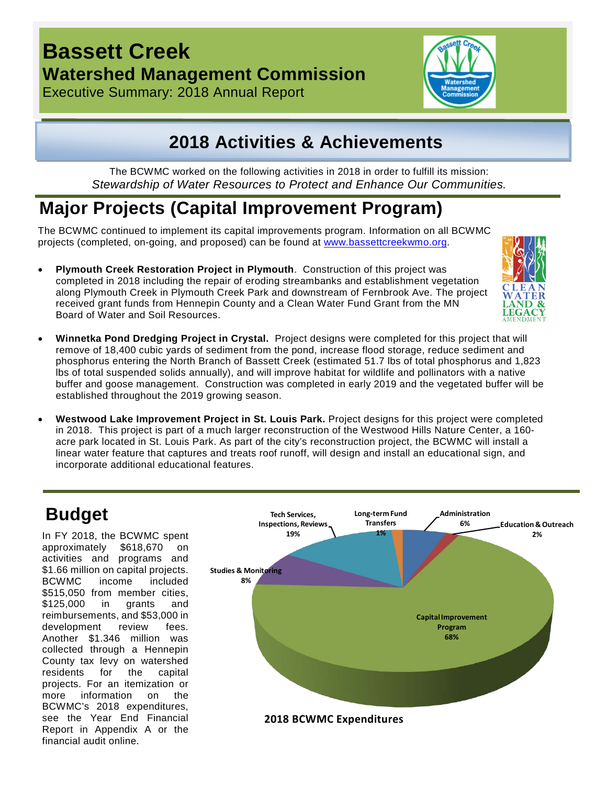## **Bassett Creek Watershed Management Commission**

Executive Summary: 2018 Annual Report



## **2018 Activities & Achievements**

The BCWMC worked on the following activities in 2018 in order to fulfill its mission: *Stewardship of Water Resources to Protect and Enhance Our Communities.*

# **Major Projects (Capital Improvement Program)**

The BCWMC continued to implement its capital improvements program. Information on all BCWMC projects (completed, on-going, and proposed) can be found at [www.bassettcreekwmo.org.](http://www.bassettcreekwmo.org/)

• **Plymouth Creek Restoration Project in Plymouth**. Construction of this project was completed in 2018 including the repair of eroding streambanks and establishment vegetation along Plymouth Creek in Plymouth Creek Park and downstream of Fernbrook Ave. The project received grant funds from Hennepin County and a Clean Water Fund Grant from the MN Board of Water and Soil Resources.



- **Winnetka Pond Dredging Project in Crystal.** Project designs were completed for this project that will remove of 18,400 cubic yards of sediment from the pond, increase flood storage, reduce sediment and phosphorus entering the North Branch of Bassett Creek (estimated 51.7 lbs of total phosphorus and 1,823 lbs of total suspended solids annually), and will improve habitat for wildlife and pollinators with a native buffer and goose management. Construction was completed in early 2019 and the vegetated buffer will be established throughout the 2019 growing season.
- **Westwood Lake Improvement Project in St. Louis Park.** Project designs for this project were completed in 2018. This project is part of a much larger reconstruction of the Westwood Hills Nature Center, a 160 acre park located in St. Louis Park. As part of the city's reconstruction project, the BCWMC will install a linear water feature that captures and treats roof runoff, will design and install an educational sign, and incorporate additional educational features.

In FY 2018, the BCWMC spent approximately \$618,670 on activities and programs and \$1.66 million on capital projects. BCWMC income included \$515,050 from member cities, \$125,000 in grants and reimbursements, and \$53,000 in development review fees. Another \$1.346 million was collected through a Hennepin County tax levy on watershed residents for the capital projects. For an itemization or more information on the BCWMC's 2018 expenditures, see the Year End Financial Report in Appendix A or the financial audit online.